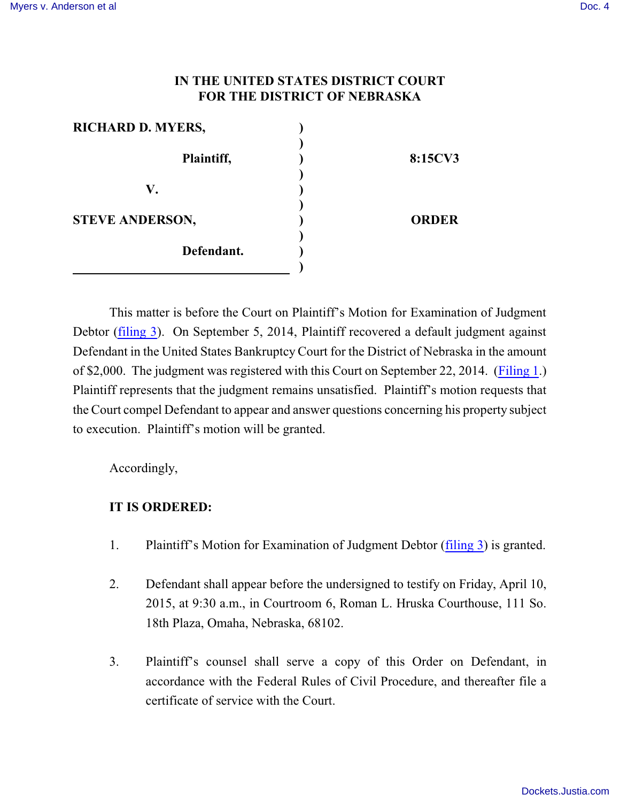## **IN THE UNITED STATES DISTRICT COURT FOR THE DISTRICT OF NEBRASKA**

| <b>RICHARD D. MYERS,</b> |              |
|--------------------------|--------------|
| Plaintiff,               | 8:15CV3      |
| V.                       |              |
| <b>STEVE ANDERSON,</b>   | <b>ORDER</b> |
| Defendant.               |              |
|                          |              |

This matter is before the Court on Plaintiff's Motion for Examination of Judgment Debtor [\(filing 3](https://ecf.ned.uscourts.gov/doc1/11313182082)). On September 5, 2014, Plaintiff recovered a default judgment against Defendant in the United States Bankruptcy Court for the District of Nebraska in the amount of \$2,000. The judgment was registered with this Court on September 22, 2014. [\(Filing 1](https://ecf.ned.uscourts.gov/doc1/11313182074).) Plaintiff represents that the judgment remains unsatisfied. Plaintiff's motion requests that the Court compel Defendant to appear and answer questions concerning his property subject to execution. Plaintiff's motion will be granted.

Accordingly,

## **IT IS ORDERED:**

- 1. Plaintiff's Motion for Examination of Judgment Debtor [\(filing 3](https://ecf.ned.uscourts.gov/doc1/11313180632)) is granted.
- 2. Defendant shall appear before the undersigned to testify on Friday, April 10, 2015, at 9:30 a.m., in Courtroom 6, Roman L. Hruska Courthouse, 111 So. 18th Plaza, Omaha, Nebraska, 68102.
- 3. Plaintiff's counsel shall serve a copy of this Order on Defendant, in accordance with the Federal Rules of Civil Procedure, and thereafter file a certificate of service with the Court.